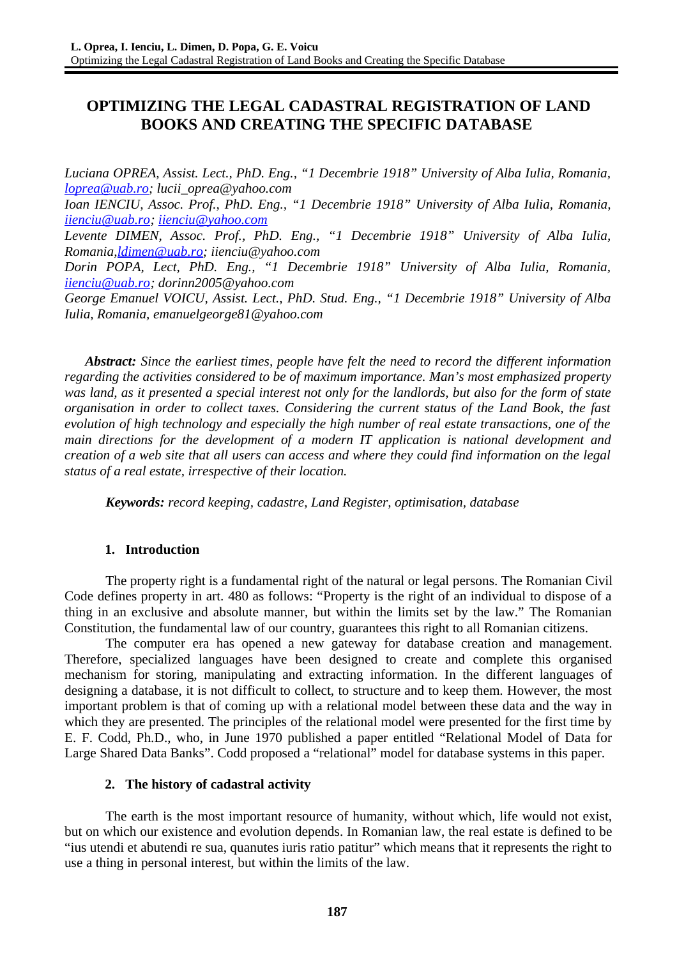# **OPTIMIZING THE LEGAL CADASTRAL REGISTRATION OF LAND BOOKS AND CREATING THE SPECIFIC DATABASE**

*Luciana OPREA, Assist. Lect., PhD. Eng., "1 Decembrie 1918" University of Alba Iulia, Romania, [loprea@uab.ro;](mailto:loprea@uab.ro) lucii\_oprea@yahoo.com Ioan IENCIU, Assoc. Prof., PhD. Eng., "1 Decembrie 1918" University of Alba Iulia, Romania, [iienciu@uab.ro;](mailto:iienciu@uab.ro) [iienciu@yahoo.com](mailto:iienciu@yahoo.com) Levente DIMEN, Assoc. Prof., PhD. Eng., "1 Decembrie 1918" University of Alba Iulia, Romania[,ldimen@uab.ro;](mailto:ldimen@uab.ro) iienciu@yahoo.com Dorin POPA, Lect, PhD. Eng., "1 Decembrie 1918" University of Alba Iulia, Romania, [iienciu@uab.ro;](mailto:iienciu@uab.ro) dorinn2005@yahoo.com George Emanuel VOICU, Assist. Lect., PhD. Stud. Eng., "1 Decembrie 1918" University of Alba*

*Iulia, Romania, emanuelgeorge81@yahoo.com*

*Abstract: Since the earliest times, people have felt the need to record the different information regarding the activities considered to be of maximum importance. Man's most emphasized property was land, as it presented a special interest not only for the landlords, but also for the form of state organisation in order to collect taxes. Considering the current status of the Land Book, the fast evolution of high technology and especially the high number of real estate transactions, one of the main directions for the development of a modern IT application is national development and creation of a web site that all users can access and where they could find information on the legal status of a real estate, irrespective of their location.*

*Keywords: record keeping, cadastre, Land Register, optimisation, database*

### **1. Introduction**

The property right is a fundamental right of the natural or legal persons. The Romanian Civil Code defines property in art. 480 as follows: "Property is the right of an individual to dispose of a thing in an exclusive and absolute manner, but within the limits set by the law." The Romanian Constitution, the fundamental law of our country, guarantees this right to all Romanian citizens.

The computer era has opened a new gateway for database creation and management. Therefore, specialized languages have been designed to create and complete this organised mechanism for storing, manipulating and extracting information. In the different languages of designing a database, it is not difficult to collect, to structure and to keep them. However, the most important problem is that of coming up with a relational model between these data and the way in which they are presented. The principles of the relational model were presented for the first time by E. F. Codd, Ph.D., who, in June 1970 published a paper entitled "Relational Model of Data for Large Shared Data Banks". Codd proposed a "relational" model for database systems in this paper.

#### **2. The history of cadastral activity**

The earth is the most important resource of humanity, without which, life would not exist, but on which our existence and evolution depends. In Romanian law, the real estate is defined to be "ius utendi et abutendi re sua, quanutes iuris ratio patitur" which means that it represents the right to use a thing in personal interest, but within the limits of the law.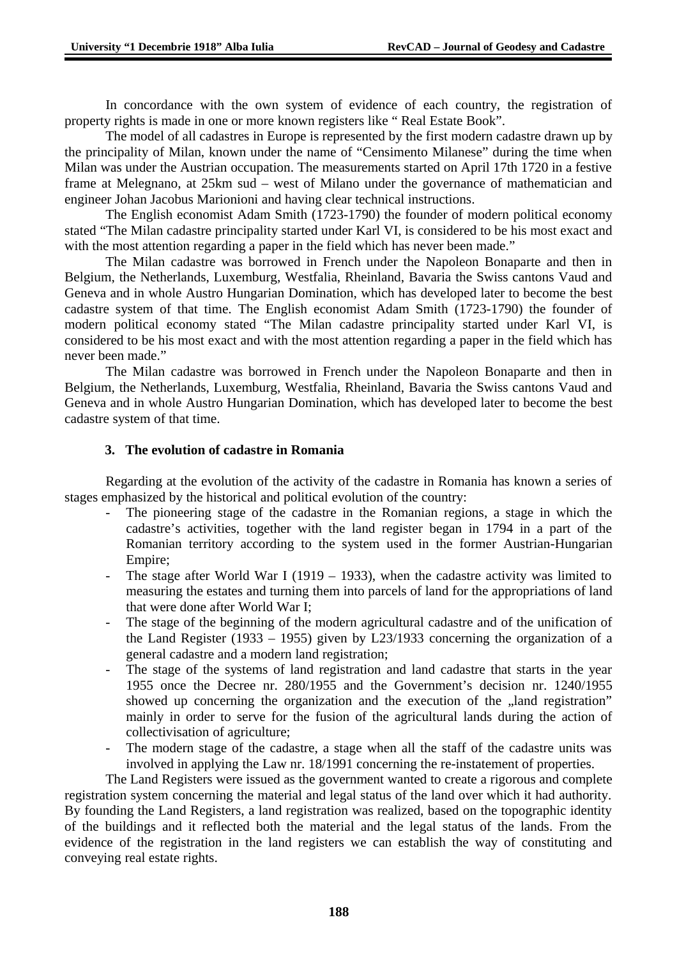In concordance with the own system of evidence of each country, the registration of property rights is made in one or more known registers like " Real Estate Book".

The model of all cadastres in Europe is represented by the first modern cadastre drawn up by the principality of Milan, known under the name of "Censimento Milanese" during the time when Milan was under the Austrian occupation. The measurements started on April 17th 1720 in a festive frame at Melegnano, at 25km sud – west of Milano under the governance of mathematician and engineer Johan Jacobus Marionioni and having clear technical instructions.

The English economist Adam Smith (1723-1790) the founder of modern political economy stated "The Milan cadastre principality started under Karl VI, is considered to be his most exact and with the most attention regarding a paper in the field which has never been made."

The Milan cadastre was borrowed in French under the Napoleon Bonaparte and then in Belgium, the Netherlands, Luxemburg, Westfalia, Rheinland, Bavaria the Swiss cantons Vaud and Geneva and in whole Austro Hungarian Domination, which has developed later to become the best cadastre system of that time. The English economist Adam Smith (1723-1790) the founder of modern political economy stated "The Milan cadastre principality started under Karl VI, is considered to be his most exact and with the most attention regarding a paper in the field which has never been made."

The Milan cadastre was borrowed in French under the Napoleon Bonaparte and then in Belgium, the Netherlands, Luxemburg, Westfalia, Rheinland, Bavaria the Swiss cantons Vaud and Geneva and in whole Austro Hungarian Domination, which has developed later to become the best cadastre system of that time.

### **3. The evolution of cadastre in Romania**

Regarding at the evolution of the activity of the cadastre in Romania has known a series of stages emphasized by the historical and political evolution of the country:

- The pioneering stage of the cadastre in the Romanian regions, a stage in which the cadastre's activities, together with the land register began in 1794 in a part of the Romanian territory according to the system used in the former Austrian-Hungarian Empire;
- The stage after World War I (1919 1933), when the cadastre activity was limited to measuring the estates and turning them into parcels of land for the appropriations of land that were done after World War I;
- The stage of the beginning of the modern agricultural cadastre and of the unification of the Land Register (1933 – 1955) given by L23/1933 concerning the organization of a general cadastre and a modern land registration;
- The stage of the systems of land registration and land cadastre that starts in the year 1955 once the Decree nr. 280/1955 and the Government's decision nr. 1240/1955 showed up concerning the organization and the execution of the "land registration" mainly in order to serve for the fusion of the agricultural lands during the action of collectivisation of agriculture;
- The modern stage of the cadastre, a stage when all the staff of the cadastre units was involved in applying the Law nr. 18/1991 concerning the re-instatement of properties.

The Land Registers were issued as the government wanted to create a rigorous and complete registration system concerning the material and legal status of the land over which it had authority. By founding the Land Registers, a land registration was realized, based on the topographic identity of the buildings and it reflected both the material and the legal status of the lands. From the evidence of the registration in the land registers we can establish the way of constituting and conveying real estate rights.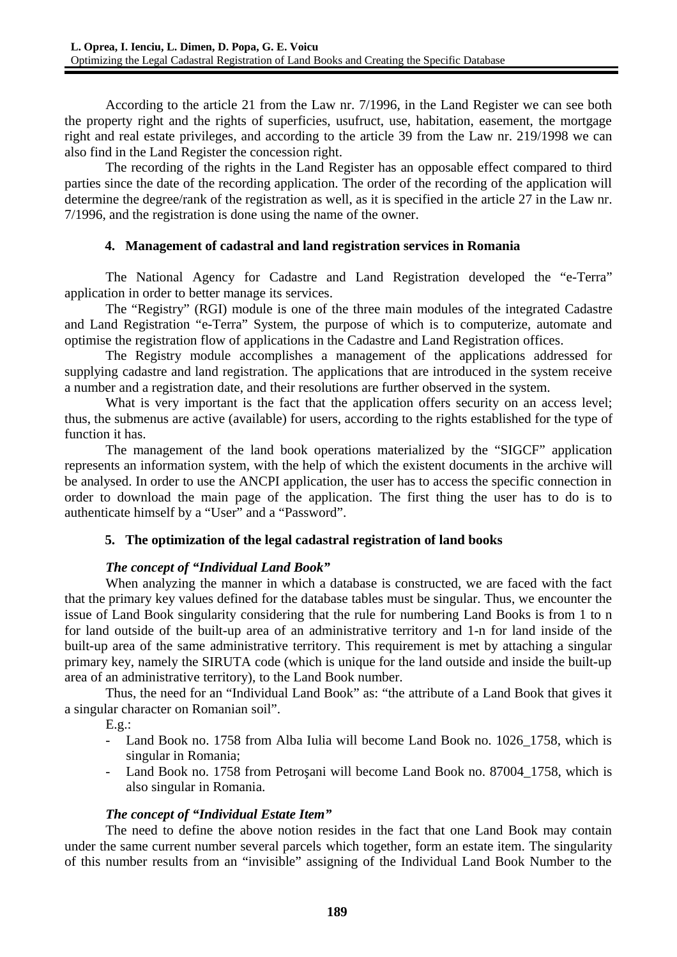According to the article 21 from the Law nr. 7/1996, in the Land Register we can see both the property right and the rights of superficies, usufruct, use, habitation, easement, the mortgage right and real estate privileges, and according to the article 39 from the Law nr. 219/1998 we can also find in the Land Register the concession right.

The recording of the rights in the Land Register has an opposable effect compared to third parties since the date of the recording application. The order of the recording of the application will determine the degree/rank of the registration as well, as it is specified in the article 27 in the Law nr. 7/1996, and the registration is done using the name of the owner.

### **4. Management of cadastral and land registration services in Romania**

The National Agency for Cadastre and Land Registration developed the "e-Terra" application in order to better manage its services.

The "Registry" (RGI) module is one of the three main modules of the integrated Cadastre and Land Registration "e-Terra" System, the purpose of which is to computerize, automate and optimise the registration flow of applications in the Cadastre and Land Registration offices.

The Registry module accomplishes a management of the applications addressed for supplying cadastre and land registration. The applications that are introduced in the system receive a number and a registration date, and their resolutions are further observed in the system.

What is very important is the fact that the application offers security on an access level; thus, the submenus are active (available) for users, according to the rights established for the type of function it has.

The management of the land book operations materialized by the "SIGCF" application represents an information system, with the help of which the existent documents in the archive will be analysed. In order to use the ANCPI application, the user has to access the specific connection in order to download the main page of the application. The first thing the user has to do is to authenticate himself by a "User" and a "Password".

## **5. The optimization of the legal cadastral registration of land books**

## *The concept of "Individual Land Book"*

When analyzing the manner in which a database is constructed, we are faced with the fact that the primary key values defined for the database tables must be singular. Thus, we encounter the issue of Land Book singularity considering that the rule for numbering Land Books is from 1 to n for land outside of the built-up area of an administrative territory and 1-n for land inside of the built-up area of the same administrative territory. This requirement is met by attaching a singular primary key, namely the SIRUTA code (which is unique for the land outside and inside the built-up area of an administrative territory), to the Land Book number.

Thus, the need for an "Individual Land Book" as: "the attribute of a Land Book that gives it a singular character on Romanian soil".

E.g.:

- Land Book no. 1758 from Alba Iulia will become Land Book no. 1026 1758, which is singular in Romania;
- Land Book no. 1758 from Petroşani will become Land Book no. 87004\_1758, which is also singular in Romania.

### *The concept of "Individual Estate Item"*

The need to define the above notion resides in the fact that one Land Book may contain under the same current number several parcels which together, form an estate item. The singularity of this number results from an "invisible" assigning of the Individual Land Book Number to the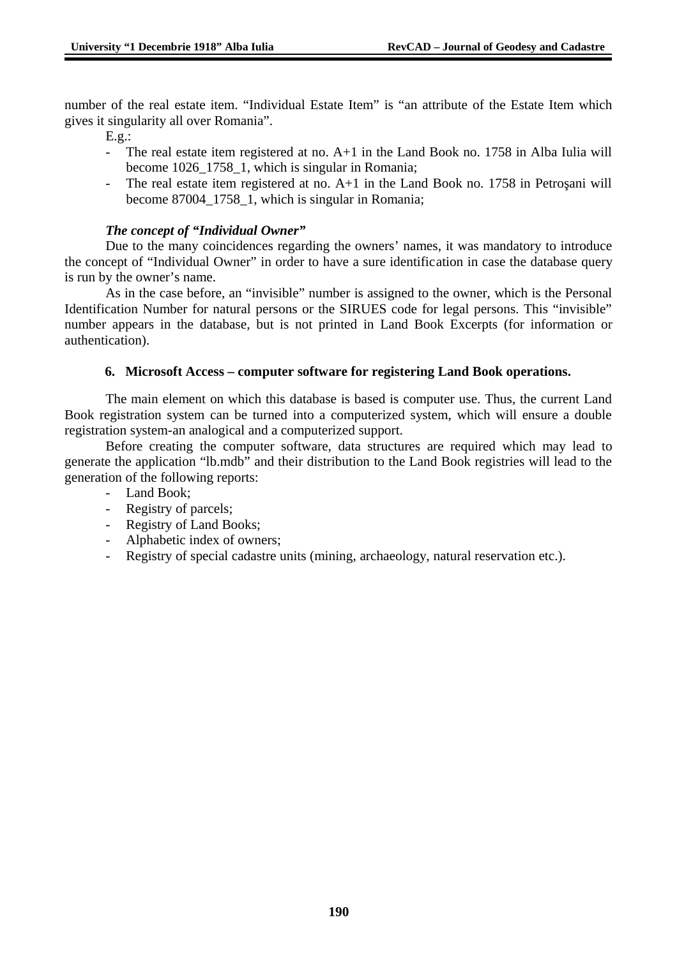number of the real estate item. "Individual Estate Item" is "an attribute of the Estate Item which gives it singularity all over Romania".

E.g.:

- The real estate item registered at no.  $A+1$  in the Land Book no. 1758 in Alba Iulia will become 1026\_1758\_1, which is singular in Romania;
- The real estate item registered at no.  $A+1$  in the Land Book no. 1758 in Petrosani will become 87004\_1758\_1, which is singular in Romania;

### *The concept of "Individual Owner"*

Due to the many coincidences regarding the owners' names, it was mandatory to introduce the concept of "Individual Owner" in order to have a sure identification in case the database query is run by the owner's name.

As in the case before, an "invisible" number is assigned to the owner, which is the Personal Identification Number for natural persons or the SIRUES code for legal persons. This "invisible" number appears in the database, but is not printed in Land Book Excerpts (for information or authentication).

### **6. Microsoft Access – computer software for registering Land Book operations.**

The main element on which this database is based is computer use. Thus, the current Land Book registration system can be turned into a computerized system, which will ensure a double registration system-an analogical and a computerized support.

Before creating the computer software, data structures are required which may lead to generate the application "lb.mdb" and their distribution to the Land Book registries will lead to the generation of the following reports:

- Land Book;
- Registry of parcels;
- Registry of Land Books;
- Alphabetic index of owners;
- Registry of special cadastre units (mining, archaeology, natural reservation etc.).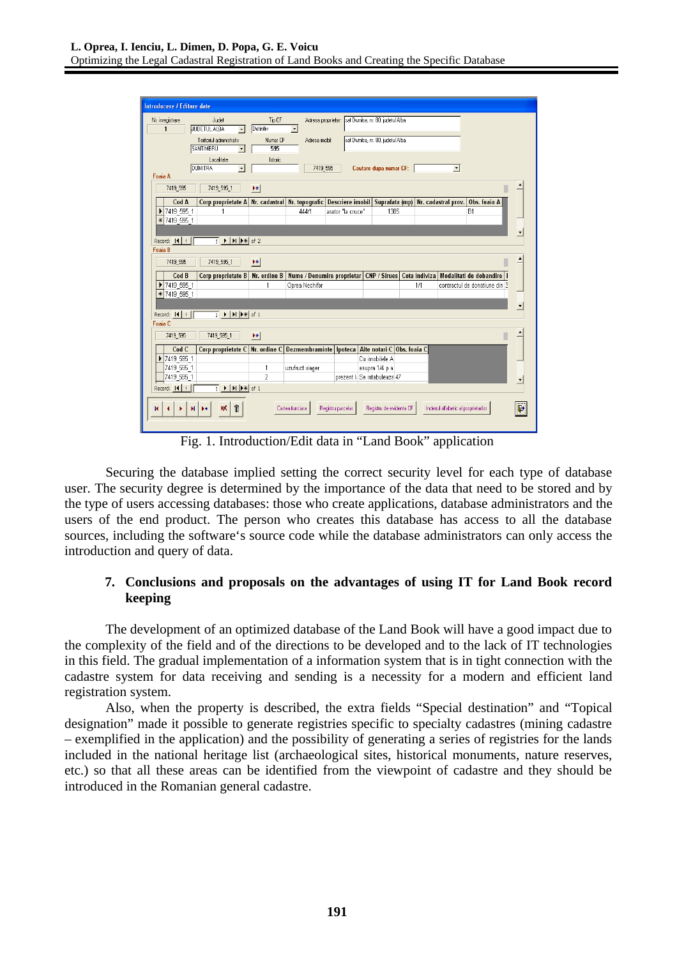| Introducere / Editare date |                                                                                                                          |                             |                            |                                                                                  |                                   |               |                                     |                               |  |
|----------------------------|--------------------------------------------------------------------------------------------------------------------------|-----------------------------|----------------------------|----------------------------------------------------------------------------------|-----------------------------------|---------------|-------------------------------------|-------------------------------|--|
|                            |                                                                                                                          |                             |                            |                                                                                  |                                   |               |                                     |                               |  |
| Nr. inregistrare           | Judet                                                                                                                    | Tip CF                      |                            | Adresa proprietar: sat Dumitra, nr. 80, judetul Alba                             |                                   |               |                                     |                               |  |
|                            | <b>JUDETUL ALBA</b><br>$\overline{\phantom{a}}$                                                                          | Definitiv                   | $\vert \cdot \vert$        |                                                                                  |                                   |               |                                     |                               |  |
|                            | Teritoriul administrativ                                                                                                 | Numar <sub>CF</sub>         | Adresa imobil:             |                                                                                  | sat Dumitra, nr. 80, judetul Alba |               |                                     |                               |  |
|                            | <b>SANTIMBRU</b><br>$\vert \cdot \vert$                                                                                  | 595                         |                            |                                                                                  |                                   |               |                                     |                               |  |
|                            | Localitate                                                                                                               | Istoric                     |                            |                                                                                  |                                   |               |                                     |                               |  |
| Foaia A                    | <b>DUMITRA</b><br>$\bullet$                                                                                              |                             | 7419_595                   |                                                                                  | Cautare dupa numar CF:            |               | $\vert \cdot \vert$                 |                               |  |
|                            |                                                                                                                          |                             |                            |                                                                                  |                                   |               |                                     |                               |  |
| 7419 595                   | 7419 595 1                                                                                                               | $\blacktriangleright\ast\,$ |                            |                                                                                  |                                   |               |                                     |                               |  |
| Cod A                      | Corp proprietate A                                                                                                       |                             |                            | Nr. cadastral Nr. topografic Descriere imobil Suprafata (mp) Nr. cadastral prov. |                                   |               |                                     | Obs. foaia A                  |  |
| ▶ 7419 595 1               |                                                                                                                          |                             | 444/1                      | arator "la cruce"                                                                | 1385                              |               |                                     | <b>B1</b>                     |  |
| * 7419 595 1               |                                                                                                                          |                             |                            |                                                                                  |                                   |               |                                     |                               |  |
|                            |                                                                                                                          |                             |                            |                                                                                  |                                   |               |                                     |                               |  |
| Record: 14                 |                                                                                                                          |                             |                            |                                                                                  |                                   |               |                                     |                               |  |
| <b>Foaia B</b>             |                                                                                                                          |                             |                            |                                                                                  |                                   |               |                                     |                               |  |
| 7419_595                   | 7419_595_1                                                                                                               | $\blacktriangleright\ast$   |                            |                                                                                  |                                   |               |                                     |                               |  |
| Cod B                      | Corp proprietate B                                                                                                       | Nr. ordine B                | Nume / Denumire proprietar |                                                                                  | <b>CNP / Sirues</b>               | Cota indiviza |                                     | Modalitati de dobandire       |  |
| ▶ 7419 595 1               |                                                                                                                          | 1                           | Oprea Nechifor             |                                                                                  |                                   | 1/1           |                                     | contractul de donatiune din 3 |  |
| * 7419 595 1               |                                                                                                                          |                             |                            |                                                                                  |                                   |               |                                     |                               |  |
|                            |                                                                                                                          |                             |                            |                                                                                  |                                   |               |                                     |                               |  |
| Record: 14   4             | $\overline{1}$ $\blacktriangleright$ $\mid$ $\blacktriangleright$ $\mid$ $\blacktriangleright$ $\frac{1}{\sqrt{2}}$ of 1 |                             |                            |                                                                                  |                                   |               |                                     |                               |  |
| <b>Foaia C</b>             |                                                                                                                          |                             |                            |                                                                                  |                                   |               |                                     |                               |  |
| 7419_595                   | 7419_595_1                                                                                                               | $\blacktriangleright\ast\,$ |                            |                                                                                  |                                   |               |                                     |                               |  |
| Cod C                      | Corp proprietate C                                                                                                       | Nr. ordine C                |                            | Dezmembraminte   Ipoteca   Alte notari C   Obs. foaia C                          |                                   |               |                                     |                               |  |
| 7419 595 1<br>▶            |                                                                                                                          |                             |                            |                                                                                  | Cu imobilele A                    |               |                                     |                               |  |
| 7419 595 1                 |                                                                                                                          | 1                           | uzufruct viager            |                                                                                  | asupra 1/4 p a                    |               |                                     |                               |  |
| 7419 595 1                 |                                                                                                                          | $\overline{2}$              |                            | prezent I: Se intabuleaza 47                                                     |                                   |               |                                     |                               |  |
| Record: 14                 | $\overline{1}$ $\blacktriangleright$ $\mid$ $\blacktriangleright$ $\mid$ $\blacktriangleright$ $\Downarrow$ of 1         |                             |                            |                                                                                  |                                   |               |                                     |                               |  |
|                            | $\blacksquare$<br>W.<br>H.<br>▶⋇                                                                                         |                             | Cartea funciara            | Registru parcelar                                                                | Registru de evidenta CF           |               | Indexul alfabetic al proprietarilor |                               |  |

Fig. 1. Introduction/Edit data in "Land Book" application

Securing the database implied setting the correct security level for each type of database user. The security degree is determined by the importance of the data that need to be stored and by the type of users accessing databases: those who create applications, database administrators and the users of the end product. The person who creates this database has access to all the database sources, including the software's source code while the database administrators can only access the introduction and query of data.

### **7. Conclusions and proposals on the advantages of using IT for Land Book record keeping**

The development of an optimized database of the Land Book will have a good impact due to the complexity of the field and of the directions to be developed and to the lack of IT technologies in this field. The gradual implementation of a information system that is in tight connection with the cadastre system for data receiving and sending is a necessity for a modern and efficient land registration system.

Also, when the property is described, the extra fields "Special destination" and "Topical designation" made it possible to generate registries specific to specialty cadastres (mining cadastre – exemplified in the application) and the possibility of generating a series of registries for the lands included in the national heritage list (archaeological sites, historical monuments, nature reserves, etc.) so that all these areas can be identified from the viewpoint of cadastre and they should be introduced in the Romanian general cadastre.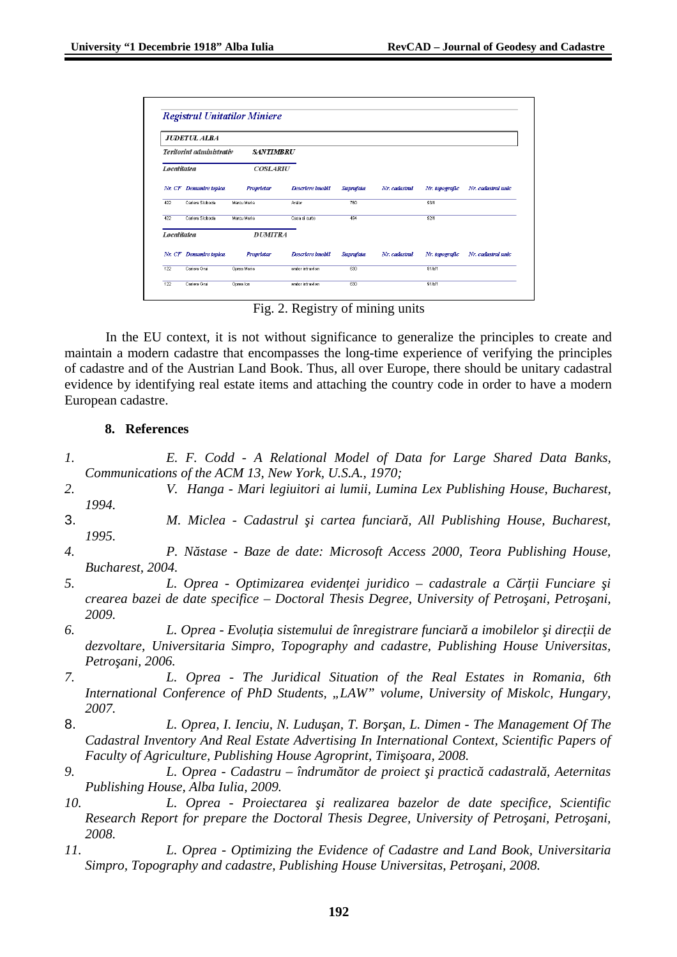|                                         | <b>JUDETUL ALBA</b> |                  |                   |           |               |                |                     |
|-----------------------------------------|---------------------|------------------|-------------------|-----------|---------------|----------------|---------------------|
| Teritoriul administrativ<br>Localitatea |                     | <b>SANTIMBRU</b> |                   |           |               |                |                     |
|                                         |                     | <b>COSLARIU</b>  |                   |           |               |                |                     |
| Nr. CF                                  | Denumire topica     | Proprietar       | Descriere imobil  | Suprafata | Nr. cadastral | Nr. topografic | Nr. cadastral unic. |
| 422                                     | Cariera Sloboda     | Marcu Maria      | Arator            | 760       |               | 93/1           |                     |
| 422                                     | Cariera Sloboda     | Marcu Maria      | Casa si curte     | 494       |               | 92/1           |                     |
| Localitatea                             |                     | <b>DUMITRA</b>   |                   |           |               |                |                     |
| Nr. CF                                  | Denumire topica     | Proprietar       | Descriere imobil  | Suprafata | Nr. cadastral | Nr. topografic | Nr. cadastral unic  |
| 122                                     | Cariera Grui        | Oprea Maria      | arator intravilan | 630       |               | 91/b/1         |                     |
| 122                                     | Cariera Grui        | Oprea lon        | arator intravilan | 630       |               | 91/b/1         |                     |

Fig. 2. Registry of mining units

In the EU context, it is not without significance to generalize the principles to create and maintain a modern cadastre that encompasses the long-time experience of verifying the principles of cadastre and of the Austrian Land Book. Thus, all over Europe, there should be unitary cadastral evidence by identifying real estate items and attaching the country code in order to have a modern European cadastre.

### **8. References**

- *1. E. F. Codd A Relational Model of Data for Large Shared Data Banks, Communications of the ACM 13, New York, U.S.A., 1970;*
- *2. V. Hanga Mari legiuitori ai lumii, Lumina Lex Publishing House, Bucharest, 1994.*
- 3. *M. Miclea Cadastrul şi cartea funciară, All Publishing House, Bucharest, 1995.*
- *4. P. Năstase Baze de date: Microsoft Access 2000, Teora Publishing House, Bucharest, 2004.*
- *5. L. Oprea Optimizarea evidenţei juridico cadastrale a Cărţii Funciare şi crearea bazei de date specifice – Doctoral Thesis Degree, University of Petroşani, Petroşani, 2009.*
- *6. L. Oprea Evoluţia sistemului de înregistrare funciară a imobilelor şi direcţii de dezvoltare, Universitaria Simpro, Topography and cadastre, Publishing House Universitas, Petroşani, 2006.*
- *7. L. Oprea The Juridical Situation of the Real Estates in Romania, 6th International Conference of PhD Students, "LAW" volume, University of Miskolc, Hungary, 2007.*
- 8. *L. Oprea, I. Ienciu, N. Luduşan, T. Borşan, L. Dimen The Management Of The Cadastral Inventory And Real Estate Advertising In International Context, Scientific Papers of Faculty of Agriculture, Publishing House Agroprint, Timişoara, 2008.*
- *9. L. Oprea Cadastru îndrumător de proiect şi practică cadastrală, Aeternitas Publishing House, Alba Iulia, 2009.*
- *10. L. Oprea Proiectarea şi realizarea bazelor de date specifice, Scientific Research Report for prepare the Doctoral Thesis Degree, University of Petroşani, Petroşani, 2008.*
- *11. L. Oprea Optimizing the Evidence of Cadastre and Land Book, Universitaria Simpro, Topography and cadastre, Publishing House Universitas, Petroşani, 2008.*